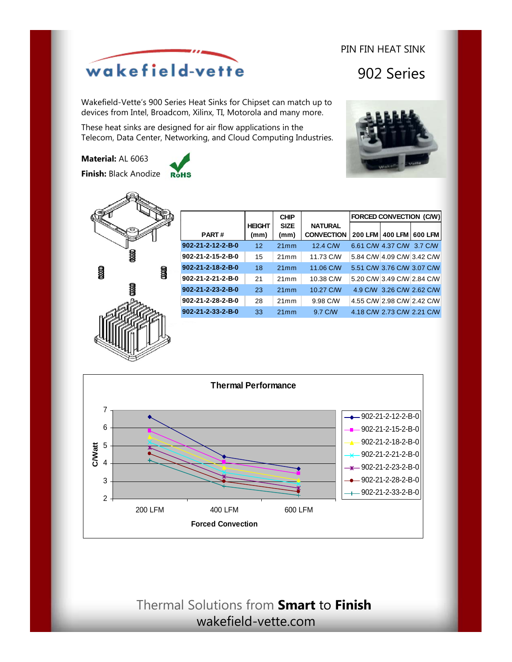# wakefield-vette

Wakefield-Vette's 900 Series Heat Sinks for Chipset can match up to devices from Intel, Broadcom, Xilinx, TI, Motorola and many more.

These heat sinks are designed for air flow applications in the Telecom, Data Center, Networking, and Cloud Computing Industries.

**Material:** AL 6063

**Finish:** Black Anodize **RoHs** 



|                                 |                       | <b>CHIP</b>         |                                     | <b>FORCED CONVECTION (C/W)</b> |                            |         |
|---------------------------------|-----------------------|---------------------|-------------------------------------|--------------------------------|----------------------------|---------|
| <b>PART#</b>                    | <b>HEIGHT</b><br>(mm) | <b>SIZE</b><br>(mm) | <b>NATURAL</b><br><b>CONVECTION</b> | <b>200 LFM</b>                 | <b>400 LFM</b>             | 600 LFM |
| $902 - 21 - 2 - 12 - 2 - B - 0$ | 12                    | 21mm                | 12.4 C/W                            |                                | 6.61 C/W 4.37 C/W 3.7 C/W  |         |
| 902-21-2-15-2-B-0               | 15                    | 21mm                | 11.73 C/W                           |                                | 5.84 C/W 4.09 C/W 3.42 C/W |         |
| 902-21-2-18-2-B-0               | 18                    | 21mm                | 11.06 C/W                           |                                | 5.51 C/W 3.76 C/W 3.07 C/W |         |
| 902-21-2-21-2-B-0               | 21                    | 21mm                | 10.38 C/W                           |                                | 5.20 C/W 3.49 C/W 2.84 C/W |         |
| $902 - 21 - 2 - 23 - 2 - B - 0$ | 23                    | 21mm                | 10.27 C/W                           |                                | 4.9 C/W 3.26 C/W 2.62 C/W  |         |
| 902-21-2-28-2-B-0               | 28                    | 21mm                | 9.98 C/W                            |                                | 4.55 C/W 2.98 C/W 2.42 C/W |         |
| $902 - 21 - 2 - 33 - 2 - B - 0$ | 33                    | 21mm                | 9.7 C/W                             |                                | 4.18 C/W 2.73 C/W 2.21 C/W |         |



## Thermal Solutions from **Smart** to **Finish** wakefield-vette.com



PIN FIN HEAT SINK